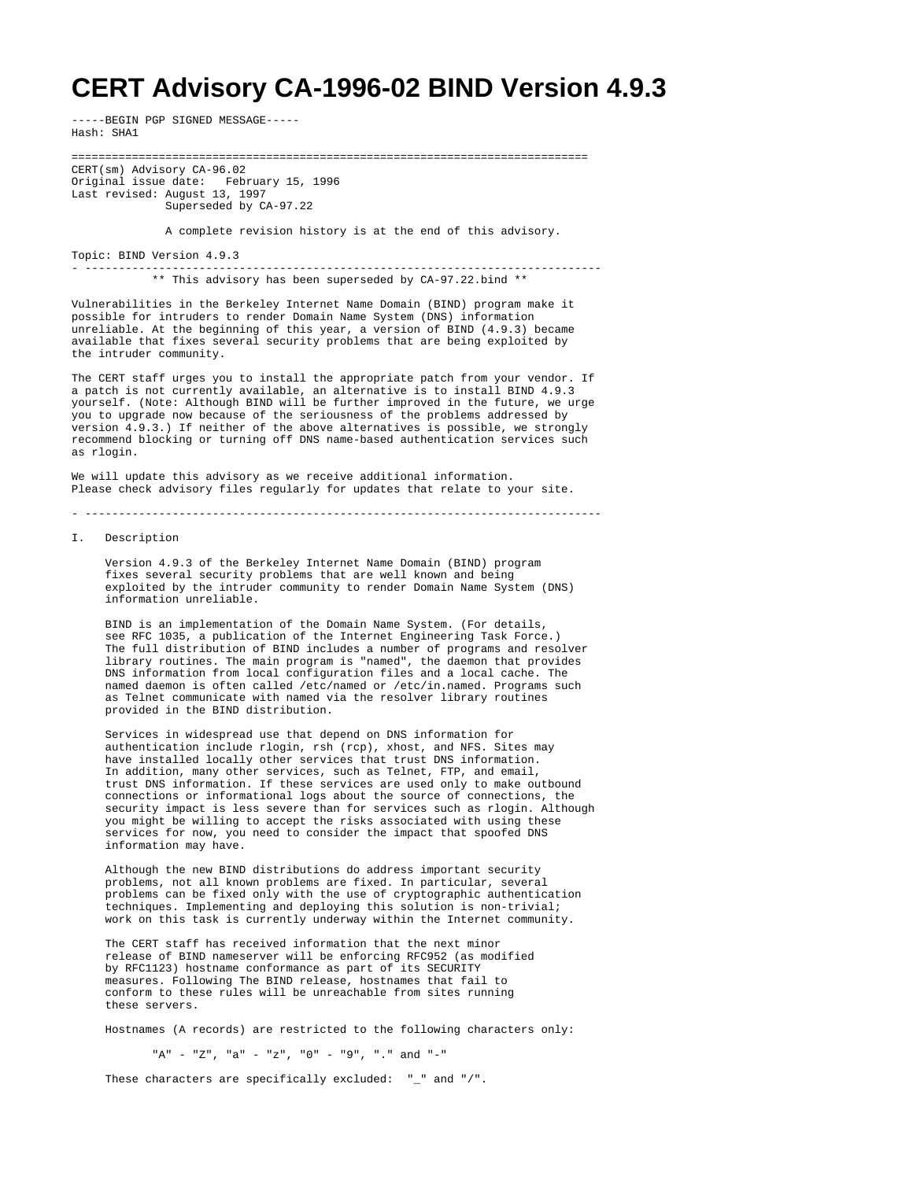# **CERT Advisory CA-1996-02 BIND Version 4.9.3**

-----BEGIN PGP SIGNED MESSAGE----- Hash: SHA1

=============================================================================

CERT(sm) Advisory CA-96.02 Original issue date: February 15, 1996 Last revised: August 13, 1997 Superseded by CA-97.22

A complete revision history is at the end of this advisory.

Topic: BIND Version 4.9.3

- ----------------------------------------------------------------------------- \*\* This advisory has been superseded by CA-97.22.bind \*\*

Vulnerabilities in the Berkeley Internet Name Domain (BIND) program make it possible for intruders to render Domain Name System (DNS) information unreliable. At the beginning of this year, a version of BIND (4.9.3) became available that fixes several security problems that are being exploited by the intruder community.

The CERT staff urges you to install the appropriate patch from your vendor. If a patch is not currently available, an alternative is to install BIND 4.9.3 yourself. (Note: Although BIND will be further improved in the future, we urge you to upgrade now because of the seriousness of the problems addressed by version 4.9.3.) If neither of the above alternatives is possible, we strongly recommend blocking or turning off DNS name-based authentication services such as rlogin.

We will update this advisory as we receive additional information. Please check advisory files regularly for updates that relate to your site.

- -----------------------------------------------------------------------------

#### I. Description

 Version 4.9.3 of the Berkeley Internet Name Domain (BIND) program fixes several security problems that are well known and being exploited by the intruder community to render Domain Name System (DNS) information unreliable.

 BIND is an implementation of the Domain Name System. (For details, see RFC 1035, a publication of the Internet Engineering Task Force.) The full distribution of BIND includes a number of programs and resolver library routines. The main program is "named", the daemon that provides DNS information from local configuration files and a local cache. The named daemon is often called /etc/named or /etc/in.named. Programs such as Telnet communicate with named via the resolver library routines provided in the BIND distribution.

 Services in widespread use that depend on DNS information for authentication include rlogin, rsh (rcp), xhost, and NFS. Sites may have installed locally other services that trust DNS information. In addition, many other services, such as Telnet, FTP, and email, trust DNS information. If these services are used only to make outbound connections or informational logs about the source of connections, the security impact is less severe than for services such as rlogin. Although you might be willing to accept the risks associated with using these services for now, you need to consider the impact that spoofed DNS information may have.

 Although the new BIND distributions do address important security problems, not all known problems are fixed. In particular, several problems can be fixed only with the use of cryptographic authentication techniques. Implementing and deploying this solution is non-trivial; work on this task is currently underway within the Internet community.

 The CERT staff has received information that the next minor release of BIND nameserver will be enforcing RFC952 (as modified by RFC1123) hostname conformance as part of its SECURITY measures. Following The BIND release, hostnames that fail to conform to these rules will be unreachable from sites running these servers.

Hostnames (A records) are restricted to the following characters only:

"A" - "Z", "a" - "z", "0" - "9", "." and "-"

These characters are specifically excluded: "\_" and "/".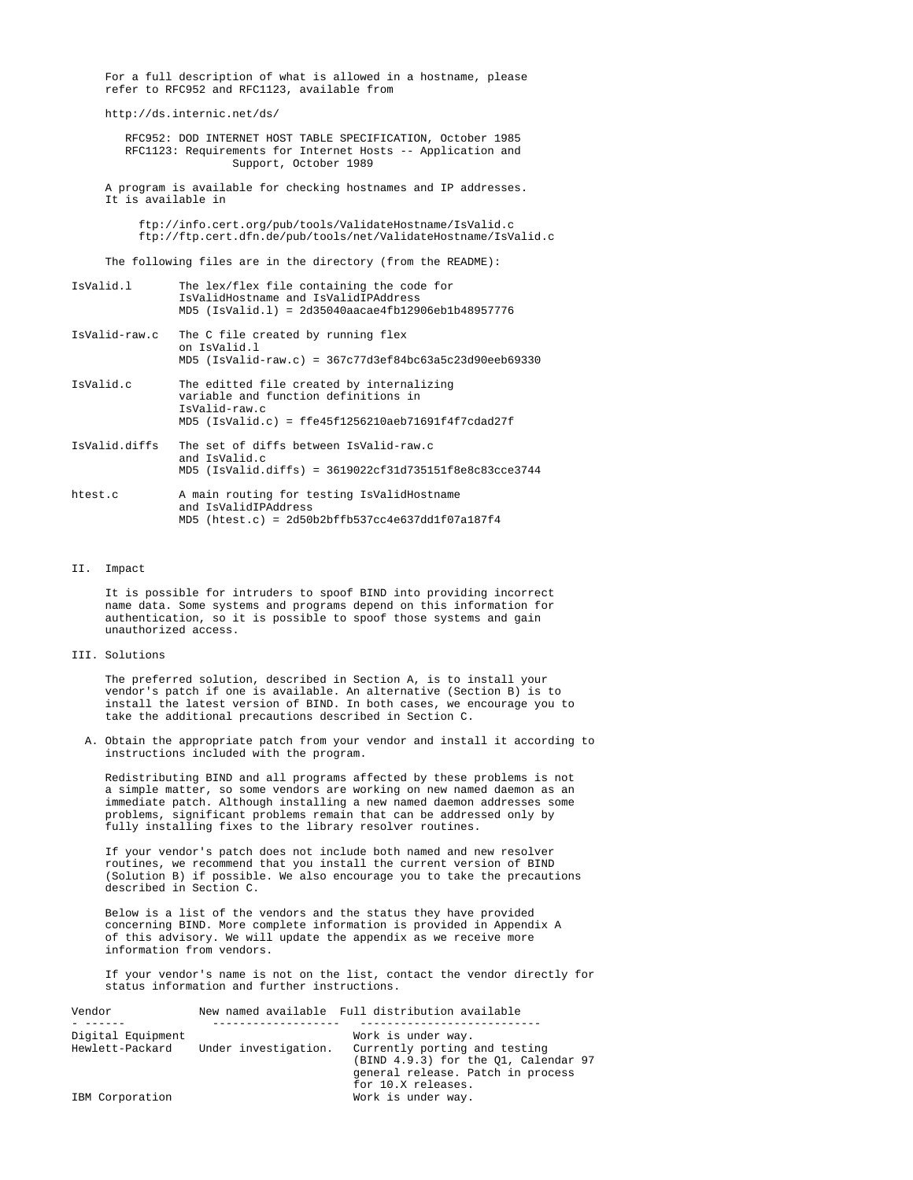For a full description of what is allowed in a hostname, please refer to RFC952 and RFC1123, available from

http://ds.internic.net/ds/

 RFC952: DOD INTERNET HOST TABLE SPECIFICATION, October 1985 RFC1123: Requirements for Internet Hosts -- Application and Support, October 1989

 A program is available for checking hostnames and IP addresses. It is available in

 ftp://info.cert.org/pub/tools/ValidateHostname/IsValid.c ftp://ftp.cert.dfn.de/pub/tools/net/ValidateHostname/IsValid.c

The following files are in the directory (from the README):

| IsValid.l     | The lex/flex file containing the code for<br>IsValidHostname and IsValidIPAddress<br>$MD5 (IsValid.1) = 2d35040aacae4fb12906eb1b48957776$                  |
|---------------|------------------------------------------------------------------------------------------------------------------------------------------------------------|
| IsValid-raw.c | The C file created by running flex<br>on IsValid.l<br>$MD5 (IsValid-raw.c) = 367c77d3ef84bc63a5c23d90eeb69330$                                             |
| IsValid.c     | The editted file created by internalizing<br>variable and function definitions in<br>IsValid-raw.c<br>$MD5$ (IsValid.c) = ffe45f1256210aeb71691f4f7cdad27f |
| IsValid.diffs | The set of diffs between IsValid-raw.c<br>and IsValid.c<br>$MD5$ (IsValid.diffs) = 3619022cf31d735151f8e8c83cce3744                                        |
| htest.c       | A main routing for testing IsValidHostname<br>and IsValidIPAddress<br>$MD5$ (htest.c) = $2d50b2bffb537cc4e637dd1f07a187f4$                                 |

## II. Impact

 It is possible for intruders to spoof BIND into providing incorrect name data. Some systems and programs depend on this information for authentication, so it is possible to spoof those systems and gain unauthorized access.

# III. Solutions

 The preferred solution, described in Section A, is to install your vendor's patch if one is available. An alternative (Section B) is to install the latest version of BIND. In both cases, we encourage you to take the additional precautions described in Section C.

 A. Obtain the appropriate patch from your vendor and install it according to instructions included with the program.

 Redistributing BIND and all programs affected by these problems is not a simple matter, so some vendors are working on new named daemon as an immediate patch. Although installing a new named daemon addresses some problems, significant problems remain that can be addressed only by fully installing fixes to the library resolver routines.

 If your vendor's patch does not include both named and new resolver routines, we recommend that you install the current version of BIND (Solution B) if possible. We also encourage you to take the precautions described in Section C.

 Below is a list of the vendors and the status they have provided concerning BIND. More complete information is provided in Appendix A of this advisory. We will update the appendix as we receive more information from vendors.

 If your vendor's name is not on the list, contact the vendor directly for status information and further instructions.

| Vendor            |                      | New named available Full distribution available |
|-------------------|----------------------|-------------------------------------------------|
|                   |                      |                                                 |
| Digital Equipment |                      | Work is under way.                              |
| Hewlett-Packard   | Under investigation. | Currently porting and testing                   |
|                   |                      | (BIND 4.9.3) for the 01, Calendar 97            |
|                   |                      | general release. Patch in process               |
|                   |                      | for 10.X releases.                              |
| IBM Corporation   |                      | Work is under way.                              |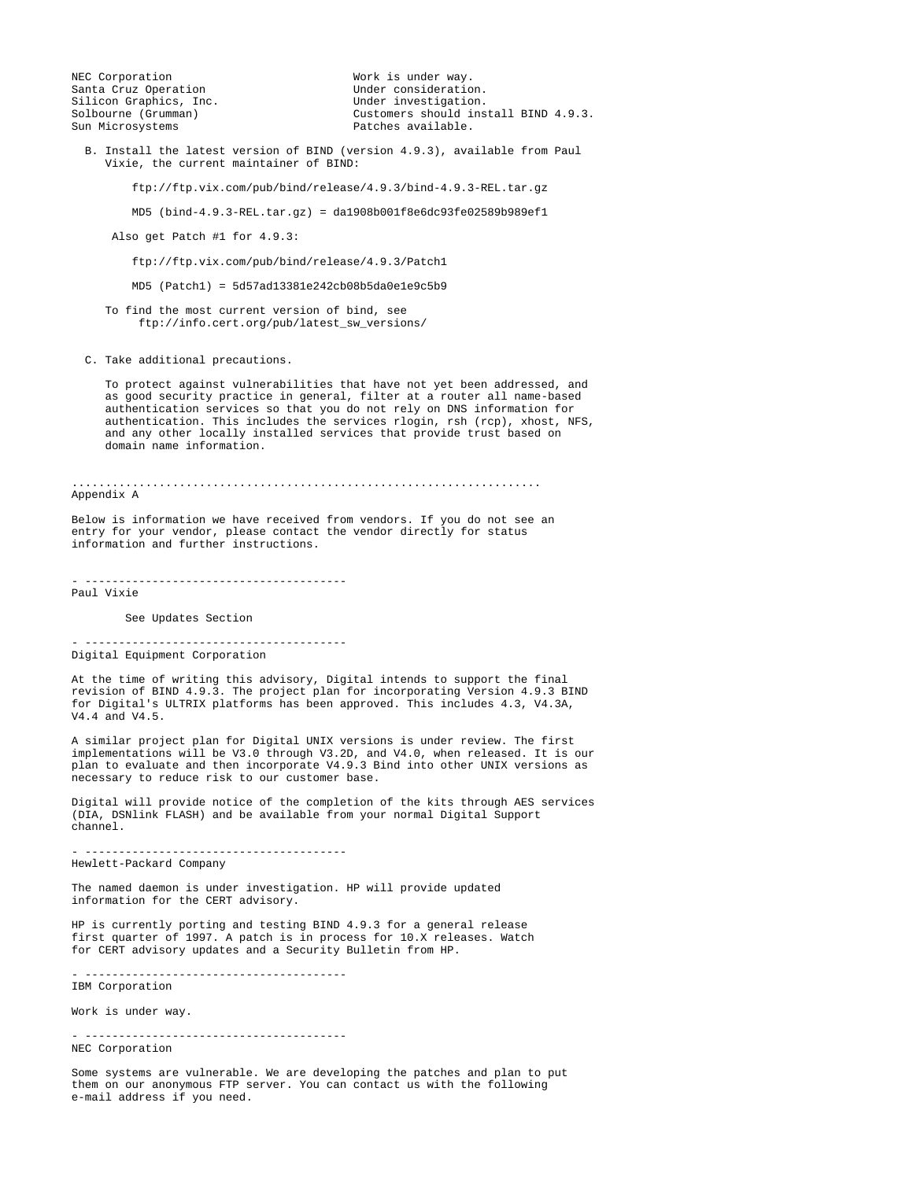NEC Corporation and the Mork is under way.<br>
Santa Cruz Operation and Mork Under consideration. Santa Cruz Operation<br>Silicon Graphics, Inc.<br>Under investigation. Silicon Graphics, Inc.<br>Solbourne (Grumman)

Solbourne (Grumman) Customers should install BIND 4.9.3.<br>
Sun Microsystems Customers available. Patches available.

 B. Install the latest version of BIND (version 4.9.3), available from Paul Vixie, the current maintainer of BIND:

ftp://ftp.vix.com/pub/bind/release/4.9.3/bind-4.9.3-REL.tar.gz

MD5 (bind-4.9.3-REL.tar.gz) = da1908b001f8e6dc93fe02589b989ef1

Also get Patch #1 for 4.9.3:

ftp://ftp.vix.com/pub/bind/release/4.9.3/Patch1

MD5 (Patch1) = 5d57ad13381e242cb08b5da0e1e9c5b9

 To find the most current version of bind, see ftp://info.cert.org/pub/latest\_sw\_versions/

C. Take additional precautions.

 To protect against vulnerabilities that have not yet been addressed, and as good security practice in general, filter at a router all name-based authentication services so that you do not rely on DNS information for authentication. This includes the services rlogin, rsh (rcp), xhost, NFS, and any other locally installed services that provide trust based on domain name information.

...................................................................... Appendix A

Below is information we have received from vendors. If you do not see an entry for your vendor, please contact the vendor directly for status information and further instructions.

- ---------------------------------------

Paul Vixie

See Updates Section

- --------------------------------------- Digital Equipment Corporation

At the time of writing this advisory, Digital intends to support the final revision of BIND 4.9.3. The project plan for incorporating Version 4.9.3 BIND for Digital's ULTRIX platforms has been approved. This includes 4.3, V4.3A, V4.4 and V4.5.

A similar project plan for Digital UNIX versions is under review. The first implementations will be V3.0 through V3.2D, and V4.0, when released. It is our plan to evaluate and then incorporate V4.9.3 Bind into other UNIX versions as necessary to reduce risk to our customer base.

Digital will provide notice of the completion of the kits through AES services (DIA, DSNlink FLASH) and be available from your normal Digital Support channel.

- ---------------------------------------

Hewlett-Packard Company

The named daemon is under investigation. HP will provide updated information for the CERT advisory.

HP is currently porting and testing BIND 4.9.3 for a general release first quarter of 1997. A patch is in process for 10.X releases. Watch for CERT advisory updates and a Security Bulletin from HP.

- --------------------------------------- IBM Corporation

Work is under way.

- ---------------------------------------

NEC Corporation

Some systems are vulnerable. We are developing the patches and plan to put them on our anonymous FTP server. You can contact us with the following e-mail address if you need.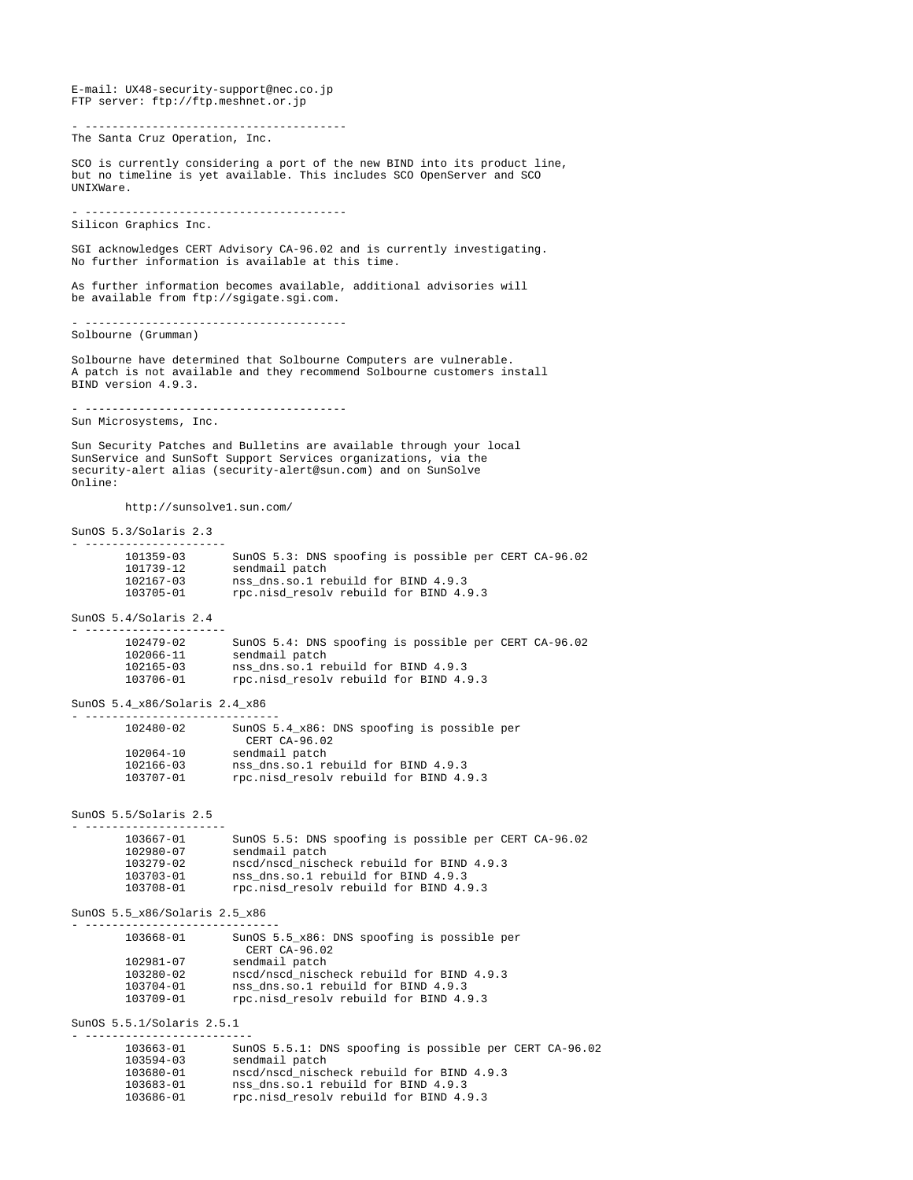E-mail: UX48-security-support@nec.co.jp FTP server: ftp://ftp.meshnet.or.jp - --------------------------------------- The Santa Cruz Operation, Inc. SCO is currently considering a port of the new BIND into its product line, but no timeline is yet available. This includes SCO OpenServer and SCO UNIXWare. - --------------------------------------- Silicon Graphics Inc. SGI acknowledges CERT Advisory CA-96.02 and is currently investigating. No further information is available at this time. As further information becomes available, additional advisories will be available from ftp://sgigate.sgi.com. - --------------------------------------- Solbourne (Grumman) Solbourne have determined that Solbourne Computers are vulnerable. A patch is not available and they recommend Solbourne customers install BIND version 4.9.3. - --------------------------------------- Sun Microsystems, Inc. Sun Security Patches and Bulletins are available through your local SunService and SunSoft Support Services organizations, via the security-alert alias (security-alert@sun.com) and on SunSolve Online: http://sunsolve1.sun.com/ SunOS 5.3/Solaris 2.3 - --------------------- 101359-03 SunOS 5.3: DNS spoofing is possible per CERT CA-96.02 101739-12 sendmail patch 102167-03 nss\_dns.so.1 rebuild for BIND 4.9.3 103705-01 rpc.nisd\_resolv rebuild for BIND 4.9.3 SunOS 5.4/Solaris 2.4 - --------------------- 102479-02 SunOS 5.4: DNS spoofing is possible per CERT CA-96.02 102066-11 sendmail patch 102165-03 nss\_dns.so.1 rebuild for BIND 4.9.3 103706-01 rpc.nisd\_resolv rebuild for BIND 4.9.3 SunOS 5.4\_x86/Solaris 2.4\_x86 - ----------------------------- 102480-02 SunOS 5.4\_x86: DNS spoofing is possible per CERT CA-96.02 102064-10 sendmail patch 102166-03 nss\_dns.so.1 rebuild for BIND 4.9.3 103707-01 rpc.nisd\_resolv rebuild for BIND 4.9.3 SunOS 5.5/Solaris 2.5 - --------------------- 103667-01 SunOS 5.5: DNS spoofing is possible per CERT CA-96.02 102980-07 sendmail patch 103279-02 nscd/nscd\_nischeck rebuild for BIND 4.9.3 103703-01 nss\_dns.so.1 rebuild for BIND 4.9.3 103708-01 rpc.nisd\_resolv rebuild for BIND 4.9.3 SunOS 5.5\_x86/Solaris 2.5\_x86 - ----------------------------- SunOS 5.5 x86: DNS spoofing is possible per CERT CA-96.02 102981-07 sendmail patch 103280-02 nscd/nscd\_nischeck rebuild for BIND 4.9.3 103704-01 nss\_dns.so.1 rebuild for BIND 4.9.3 103709-01 rpc.nisd\_resolv rebuild for BIND 4.9.3 SunOS 5.5.1/Solaris 2.5.1 - ------------------------- 103663-01 SunOS 5.5.1: DNS spoofing is possible per CERT CA-96.02 103594-03 sendmail patch 103680-01 nscd/nscd\_nischeck rebuild for BIND 4.9.3

103683-01 nss\_dns.so.1 rebuild for BIND 4.9.3<br>103686-01 rpc.nisd resolv rebuild for BIND 4. 103686-01 rpc.nisd\_resolv rebuild for BIND 4.9.3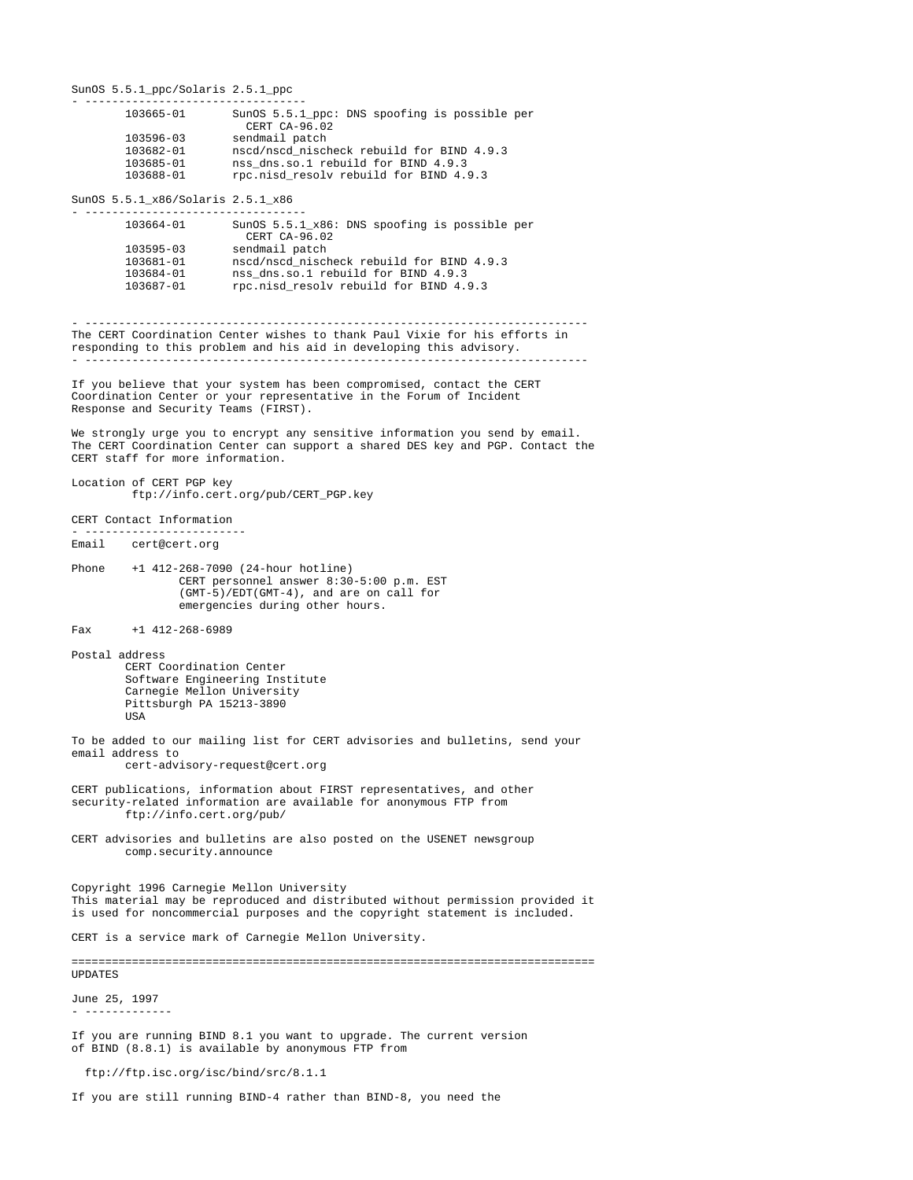SunOS 5.5.1\_ppc/Solaris 2.5.1\_ppc - --------------------------------- 103665-01 SunOS 5.5.1\_ppc: DNS spoofing is possible per CERT CA-96.02<br>
103596-03 sendmail patch 103596-03 sendmail patch 103682-01 nscd/nscd\_nischeck rebuild for BIND 4.9.3 103685-01 nss\_dns.so.1 rebuild for BIND 4.9.3 103688-01 rpc.nisd\_resolv rebuild for BIND 4.9.3

SunOS 5.5.1\_x86/Solaris 2.5.1\_x86 - ---------------------------------

| 103664-01     | SunOS 5.5.1 x86: DNS spoofing is possible per<br>CERT CA-96.02 |
|---------------|----------------------------------------------------------------|
| $103595 - 03$ | sendmail patch                                                 |
| 103681-01     | nscd/nscd nischeck rebuild for BIND 4.9.3                      |
| 103684-01     | nss dns.so.1 rebuild for BIND 4.9.3                            |
| 103687-01     | rpc.nisd resolv rebuild for BIND 4.9.3                         |

- --------------------------------------------------------------------------- The CERT Coordination Center wishes to thank Paul Vixie for his efforts in responding to this problem and his aid in developing this advisory. - ---------------------------------------------------------------------------

If you believe that your system has been compromised, contact the CERT Coordination Center or your representative in the Forum of Incident Response and Security Teams (FIRST).

We strongly urge you to encrypt any sensitive information you send by email. The CERT Coordination Center can support a shared DES key and PGP. Contact the CERT staff for more information.

### Location of CERT PGP key ftp://info.cert.org/pub/CERT\_PGP.key

CERT Contact Information

- -----------------------<br>Email cert@cert.org Email cert@cert.org

Phone +1 412-268-7090 (24-hour hotline) CERT personnel answer 8:30-5:00 p.m. EST (GMT-5)/EDT(GMT-4), and are on call for emergencies during other hours.

Fax +1 412-268-6989

Postal address CERT Coordination Center Software Engineering Institute

 Carnegie Mellon University Pittsburgh PA 15213-3890 USA

To be added to our mailing list for CERT advisories and bulletins, send your email address to cert-advisory-request@cert.org

CERT publications, information about FIRST representatives, and other security-related information are available for anonymous FTP from ftp://info.cert.org/pub/

CERT advisories and bulletins are also posted on the USENET newsgroup comp.security.announce

Copyright 1996 Carnegie Mellon University This material may be reproduced and distributed without permission provided it is used for noncommercial purposes and the copyright statement is included.

CERT is a service mark of Carnegie Mellon University.

==============================================================================

UPDATES

June 25, 1997 - -------------

If you are running BIND 8.1 you want to upgrade. The current version of BIND (8.8.1) is available by anonymous FTP from

ftp://ftp.isc.org/isc/bind/src/8.1.1

If you are still running BIND-4 rather than BIND-8, you need the